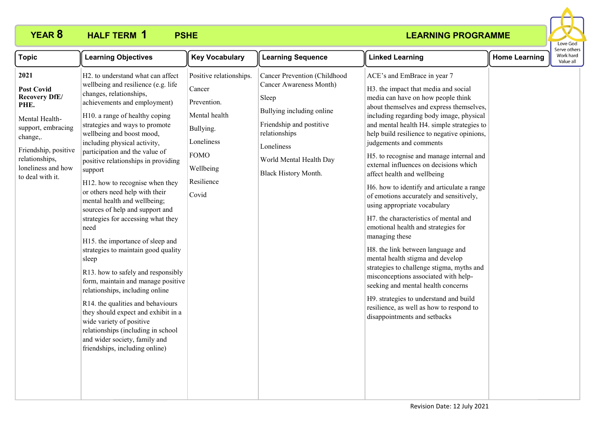

| <b>Topic</b>                                                                                                                                                                                      | <b>Learning Objectives</b>                                                                                                                                                                                                                                                                                                                                                                                                                                                                                                                                                                                                                                                                                                                                                                                                                                                                                                                                         | <b>Key Vocabulary</b>                                                                                                                           | <b>Learning Sequence</b>                                                                                                                                                                                           | <b>Linked Learning</b>                                                                                                                                                                                                                                                                                                                                                                                                                                                                                                                                                                                                                                                                                                                                                                                                                                                                                                                                                                              | <b>Home Learning</b> | Serve others<br>Work hard<br>Value all |
|---------------------------------------------------------------------------------------------------------------------------------------------------------------------------------------------------|--------------------------------------------------------------------------------------------------------------------------------------------------------------------------------------------------------------------------------------------------------------------------------------------------------------------------------------------------------------------------------------------------------------------------------------------------------------------------------------------------------------------------------------------------------------------------------------------------------------------------------------------------------------------------------------------------------------------------------------------------------------------------------------------------------------------------------------------------------------------------------------------------------------------------------------------------------------------|-------------------------------------------------------------------------------------------------------------------------------------------------|--------------------------------------------------------------------------------------------------------------------------------------------------------------------------------------------------------------------|-----------------------------------------------------------------------------------------------------------------------------------------------------------------------------------------------------------------------------------------------------------------------------------------------------------------------------------------------------------------------------------------------------------------------------------------------------------------------------------------------------------------------------------------------------------------------------------------------------------------------------------------------------------------------------------------------------------------------------------------------------------------------------------------------------------------------------------------------------------------------------------------------------------------------------------------------------------------------------------------------------|----------------------|----------------------------------------|
| 2021<br><b>Post Covid</b><br><b>Recovery DfE/</b><br>PHE.<br>Mental Health-<br>support, embracing<br>change,.<br>Friendship, positive<br>relationships,<br>loneliness and how<br>to deal with it. | H2. to understand what can affect<br>wellbeing and resilience (e.g. life<br>changes, relationships,<br>achievements and employment)<br>H10. a range of healthy coping<br>strategies and ways to promote<br>wellbeing and boost mood,<br>including physical activity,<br>participation and the value of<br>positive relationships in providing<br>support<br>H12. how to recognise when they<br>or others need help with their<br>mental health and wellbeing;<br>sources of help and support and<br>strategies for accessing what they<br>need<br>H15. the importance of sleep and<br>strategies to maintain good quality<br>sleep<br>R13. how to safely and responsibly<br>form, maintain and manage positive<br>relationships, including online<br>R14. the qualities and behaviours<br>they should expect and exhibit in a<br>wide variety of positive<br>relationships (including in school<br>and wider society, family and<br>friendships, including online) | Positive relationships.<br>Cancer<br>Prevention.<br>Mental health<br>Bullying.<br>Loneliness<br><b>FOMO</b><br>Wellbeing<br>Resilience<br>Covid | Cancer Prevention (Childhood<br><b>Cancer Awareness Month)</b><br>Sleep<br>Bullying including online<br>Friendship and postitive<br>relationships<br>Loneliness<br>World Mental Health Day<br>Black History Month. | ACE's and EmBrace in year 7<br>H3. the impact that media and social<br>media can have on how people think<br>about themselves and express themselves,<br>including regarding body image, physical<br>and mental health H4. simple strategies to<br>help build resilience to negative opinions,<br>judgements and comments<br>H5. to recognise and manage internal and<br>external influences on decisions which<br>affect health and wellbeing<br>H6. how to identify and articulate a range<br>of emotions accurately and sensitively,<br>using appropriate vocabulary<br>H7. the characteristics of mental and<br>emotional health and strategies for<br>managing these<br>H8. the link between language and<br>mental health stigma and develop<br>strategies to challenge stigma, myths and<br>misconceptions associated with help-<br>seeking and mental health concerns<br>H9. strategies to understand and build<br>resilience, as well as how to respond to<br>disappointments and setbacks |                      |                                        |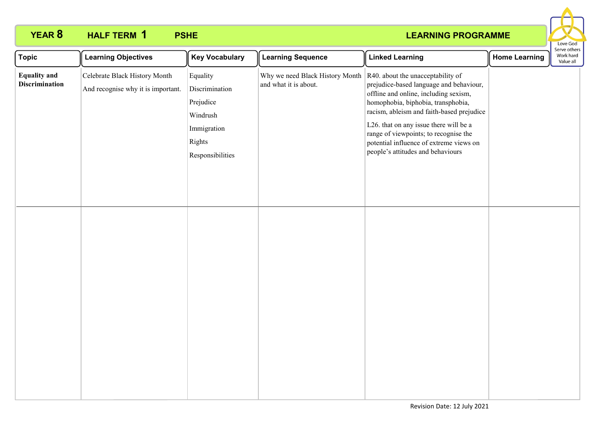#### **LEARNING PROGRAMME**

Love God

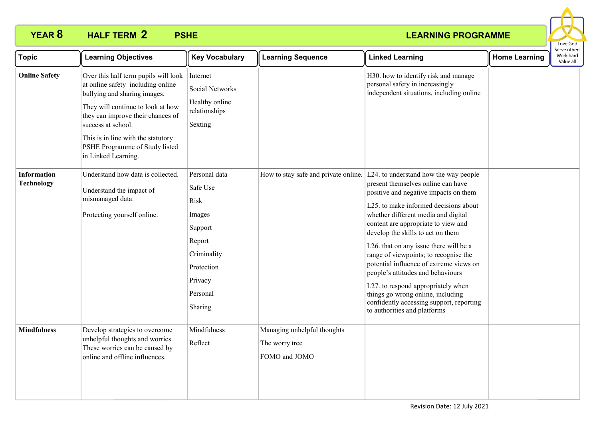

| <b>Topic</b>                            | <b>Learning Objectives</b>                                                                                                                                                                                                                                                                               | <b>Key Vocabulary</b>                                                                                                           | <b>Learning Sequence</b>                                       | <b>Linked Learning</b>                                                                                                                                                                                                                                                                                                                                                                                                                                                                                                                                                                                     | <b>Home Learning</b> | Serve others<br>Work hard<br>Value all |
|-----------------------------------------|----------------------------------------------------------------------------------------------------------------------------------------------------------------------------------------------------------------------------------------------------------------------------------------------------------|---------------------------------------------------------------------------------------------------------------------------------|----------------------------------------------------------------|------------------------------------------------------------------------------------------------------------------------------------------------------------------------------------------------------------------------------------------------------------------------------------------------------------------------------------------------------------------------------------------------------------------------------------------------------------------------------------------------------------------------------------------------------------------------------------------------------------|----------------------|----------------------------------------|
| <b>Online Safety</b>                    | Over this half term pupils will look<br>at online safety including online<br>bullying and sharing images.<br>They will continue to look at how<br>they can improve their chances of<br>success at school.<br>This is in line with the statutory<br>PSHE Programme of Study listed<br>in Linked Learning. | Internet<br>Social Networks<br>Healthy online<br>relationships<br>Sexting                                                       |                                                                | H30. how to identify risk and manage<br>personal safety in increasingly<br>independent situations, including online                                                                                                                                                                                                                                                                                                                                                                                                                                                                                        |                      |                                        |
| <b>Information</b><br><b>Technology</b> | Understand how data is collected.<br>Understand the impact of<br>mismanaged data.<br>Protecting yourself online.                                                                                                                                                                                         | Personal data<br>Safe Use<br>Risk<br>Images<br>Support<br>Report<br>Criminality<br>Protection<br>Privacy<br>Personal<br>Sharing | How to stay safe and private online.                           | L24. to understand how the way people<br>present themselves online can have<br>positive and negative impacts on them<br>L25. to make informed decisions about<br>whether different media and digital<br>content are appropriate to view and<br>develop the skills to act on them<br>L26. that on any issue there will be a<br>range of viewpoints; to recognise the<br>potential influence of extreme views on<br>people's attitudes and behaviours<br>L27. to respond appropriately when<br>things go wrong online, including<br>confidently accessing support, reporting<br>to authorities and platforms |                      |                                        |
| <b>Mindfulness</b>                      | Develop strategies to overcome<br>unhelpful thoughts and worries.<br>These worries can be caused by<br>online and offline influences.                                                                                                                                                                    | Mindfulness<br>Reflect                                                                                                          | Managing unhelpful thoughts<br>The worry tree<br>FOMO and JOMO |                                                                                                                                                                                                                                                                                                                                                                                                                                                                                                                                                                                                            |                      |                                        |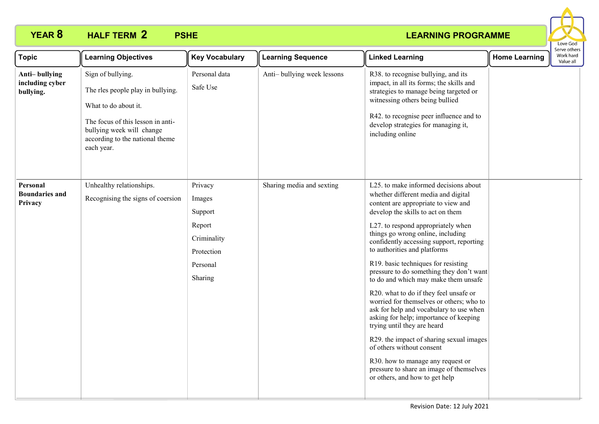

| <b>Topic</b>                                  | <b>Learning Objectives</b>                                                                                                                                                                        | <b>Key Vocabulary</b>                                                                      | <b>Learning Sequence</b>   | <b>Linked Learning</b>                                                                                                                                                                                                                                                                                                                                                                                                                                                                                                                                                                                                                                                                                                                                                                                                                           | <b>Home Learning</b> | Serve others<br>Work hard<br>Value all |
|-----------------------------------------------|---------------------------------------------------------------------------------------------------------------------------------------------------------------------------------------------------|--------------------------------------------------------------------------------------------|----------------------------|--------------------------------------------------------------------------------------------------------------------------------------------------------------------------------------------------------------------------------------------------------------------------------------------------------------------------------------------------------------------------------------------------------------------------------------------------------------------------------------------------------------------------------------------------------------------------------------------------------------------------------------------------------------------------------------------------------------------------------------------------------------------------------------------------------------------------------------------------|----------------------|----------------------------------------|
| Anti-bullying<br>including cyber<br>bullying. | Sign of bullying.<br>The rles people play in bullying.<br>What to do about it.<br>The focus of this lesson in anti-<br>bullying week will change<br>according to the national theme<br>each year. | Personal data<br>Safe Use                                                                  | Anti-bullying week lessons | R38. to recognise bullying, and its<br>impact, in all its forms; the skills and<br>strategies to manage being targeted or<br>witnessing others being bullied<br>R42. to recognise peer influence and to<br>develop strategies for managing it,<br>including online                                                                                                                                                                                                                                                                                                                                                                                                                                                                                                                                                                               |                      |                                        |
| Personal<br><b>Boundaries and</b><br>Privacy  | Unhealthy relationships.<br>Recognising the signs of coersion                                                                                                                                     | Privacy<br>Images<br>Support<br>Report<br>Criminality<br>Protection<br>Personal<br>Sharing | Sharing media and sexting  | L25. to make informed decisions about<br>whether different media and digital<br>content are appropriate to view and<br>develop the skills to act on them<br>L27. to respond appropriately when<br>things go wrong online, including<br>confidently accessing support, reporting<br>to authorities and platforms<br>R19. basic techniques for resisting<br>pressure to do something they don't want<br>to do and which may make them unsafe<br>R20. what to do if they feel unsafe or<br>worried for themselves or others; who to<br>ask for help and vocabulary to use when<br>asking for help; importance of keeping<br>trying until they are heard<br>R29. the impact of sharing sexual images<br>of others without consent<br>R30. how to manage any request or<br>pressure to share an image of themselves<br>or others, and how to get help |                      |                                        |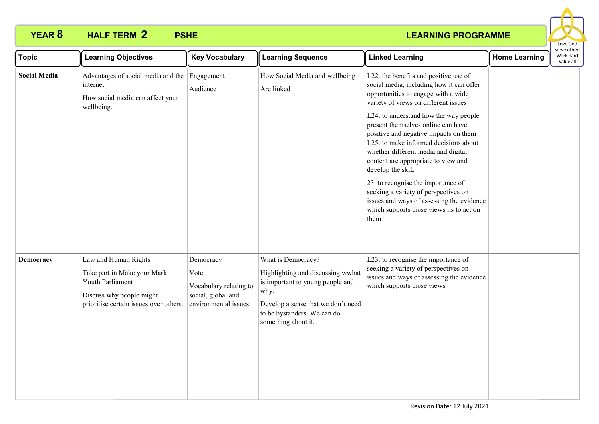

| <b>Topic</b>        | <b>Learning Objectives</b>                                                                                                                    | <b>Key Vocabulary</b>                                                                      | <b>Learning Sequence</b>                                                                                                                                                                        | <b>Linked Learning</b>                                                                                                                                                                                                                                                                                                                                                                                                                                                                                                                                                                                             | <b>Home Learning</b> | בו אב התוכו ז<br>Work hard<br>Value all |  |
|---------------------|-----------------------------------------------------------------------------------------------------------------------------------------------|--------------------------------------------------------------------------------------------|-------------------------------------------------------------------------------------------------------------------------------------------------------------------------------------------------|--------------------------------------------------------------------------------------------------------------------------------------------------------------------------------------------------------------------------------------------------------------------------------------------------------------------------------------------------------------------------------------------------------------------------------------------------------------------------------------------------------------------------------------------------------------------------------------------------------------------|----------------------|-----------------------------------------|--|
| <b>Social Media</b> | Advantages of social media and the<br>internet.<br>How social media can affect your<br>wellbeing.                                             | Engagement<br>Audience                                                                     | How Social Media and wellbeing<br>Are linked                                                                                                                                                    | L22. the benefits and positive use of<br>social media, including how it can offer<br>opportunities to engage with a wide<br>variety of views on different issues<br>L24. to understand how the way people<br>present themselves online can have<br>positive and negative impacts on them<br>L25. to make informed decisions about<br>whether different media and digital<br>content are appropriate to view and<br>develop the skiL<br>23. to recognise the importance of<br>seeking a variety of perspectives on<br>issues and ways of assessing the evidence<br>which supports those views lls to act on<br>them |                      |                                         |  |
| Democracy           | Law and Human Rights<br>Take part in Make your Mark<br>Youth Parliament<br>Discuss why people might<br>prioritise certain issues over others. | Democracy<br>Vote<br>Vocabulary relating to<br>social, global and<br>environmental issues. | What is Democracy?<br>Highlighting and discussing wwhat<br>is important to young people and<br>why.<br>Develop a sense that we don't need<br>to be bystanders. We can do<br>something about it. | L23. to recognise the importance of<br>seeking a variety of perspectives on<br>issues and ways of assessing the evidence<br>which supports those views                                                                                                                                                                                                                                                                                                                                                                                                                                                             |                      |                                         |  |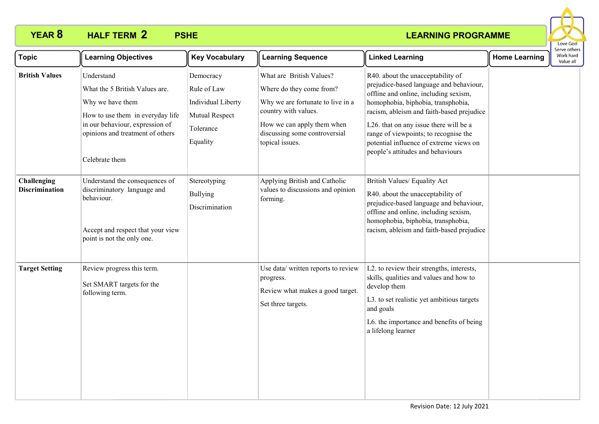

| <b>Topic</b>                         | <b>Learning Objectives</b>                                                                                                                                                                    | <b>Key Vocabulary</b>                                                                     | <b>Learning Sequence</b>                                                                                                                                                                            | <b>Linked Learning</b>                                                                                                                                                                                                                                                                                                                                                      | <b>Home Learning</b> | Serve others<br>Work hard<br>Value all |
|--------------------------------------|-----------------------------------------------------------------------------------------------------------------------------------------------------------------------------------------------|-------------------------------------------------------------------------------------------|-----------------------------------------------------------------------------------------------------------------------------------------------------------------------------------------------------|-----------------------------------------------------------------------------------------------------------------------------------------------------------------------------------------------------------------------------------------------------------------------------------------------------------------------------------------------------------------------------|----------------------|----------------------------------------|
| <b>British Values</b>                | Understand<br>What the 5 British Values are.<br>Why we have them<br>How to use them in everyday life<br>in our behaviour, expression of<br>opinions and treatment of others<br>Celebrate them | Democracy<br>Rule of Law<br>Individual Liberty<br>Mutual Respect<br>Tolerance<br>Equality | What are British Values?<br>Where do they come from?<br>Why we are fortunate to live in a<br>country with values.<br>How we can apply them when<br>discussing some controversial<br>topical issues. | R40. about the unacceptability of<br>prejudice-based language and behaviour,<br>offline and online, including sexism,<br>homophobia, biphobia, transphobia,<br>racism, ableism and faith-based prejudice<br>L26. that on any issue there will be a<br>range of viewpoints; to recognise the<br>potential influence of extreme views on<br>people's attitudes and behaviours |                      |                                        |
| Challenging<br><b>Discrimination</b> | Understand the consequences of<br>discriminatory language and<br>behaviour.<br>Accept and respect that your view<br>point is not the only one.                                                | Stereotyping<br><b>Bullying</b><br>Discrimination                                         | Applying British and Catholic<br>values to discussions and opinion<br>forming.                                                                                                                      | British Values/ Equality Act<br>R40. about the unacceptability of<br>prejudice-based language and behaviour,<br>offline and online, including sexism,<br>homophobia, biphobia, transphobia,<br>racism, ableism and faith-based prejudice                                                                                                                                    |                      |                                        |
| <b>Target Setting</b>                | Review progress this term.<br>Set SMART targets for the<br>following term.                                                                                                                    |                                                                                           | Use data/ written reports to review<br>progress.<br>Review what makes a good target.<br>Set three targets.                                                                                          | L2. to review their strengths, interests,<br>skills, qualities and values and how to<br>develop them<br>L3. to set realistic yet ambitious targets<br>and goals<br>L6. the importance and benefits of being<br>a lifelong learner                                                                                                                                           |                      |                                        |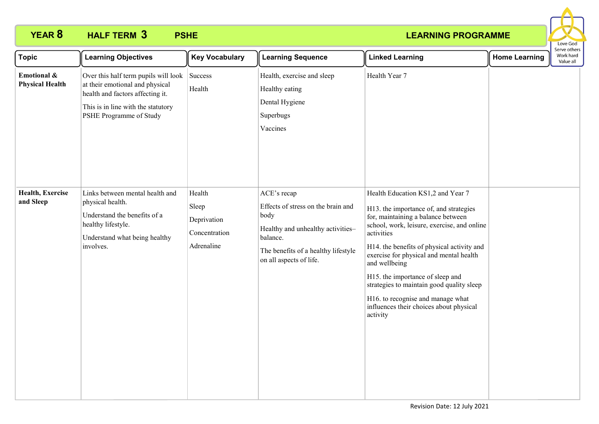

| <b>Topic</b>                          | <b>Learning Objectives</b>                                                                                                                                                   | <b>Key Vocabulary</b>                                         | <b>Learning Sequence</b>                                                                                                                                                     | <b>Linked Learning</b>                                                                                                                                                                                                                                                                                                                                                                                                                                                | <b>Home Learning</b> | Serve others<br>Work hard<br>Value all |
|---------------------------------------|------------------------------------------------------------------------------------------------------------------------------------------------------------------------------|---------------------------------------------------------------|------------------------------------------------------------------------------------------------------------------------------------------------------------------------------|-----------------------------------------------------------------------------------------------------------------------------------------------------------------------------------------------------------------------------------------------------------------------------------------------------------------------------------------------------------------------------------------------------------------------------------------------------------------------|----------------------|----------------------------------------|
| Emotional &<br><b>Physical Health</b> | Over this half term pupils will look<br>at their emotional and physical<br>health and factors affecting it.<br>This is in line with the statutory<br>PSHE Programme of Study | Success<br>Health                                             | Health, exercise and sleep<br>Healthy eating<br>Dental Hygiene<br>Superbugs<br>Vaccines                                                                                      | Health Year 7                                                                                                                                                                                                                                                                                                                                                                                                                                                         |                      |                                        |
| Health, Exercise<br>and Sleep         | Links between mental health and<br>physical health.<br>Understand the benefits of a<br>healthy lifestyle.<br>Understand what being healthy<br>involves.                      | Health<br>Sleep<br>Deprivation<br>Concentration<br>Adrenaline | ACE's recap<br>Effects of stress on the brain and<br>body<br>Healthy and unhealthy activities-<br>balance.<br>The benefits of a healthy lifestyle<br>on all aspects of life. | Health Education KS1,2 and Year 7<br>H13. the importance of, and strategies<br>for, maintaining a balance between<br>school, work, leisure, exercise, and online<br>activities<br>H14. the benefits of physical activity and<br>exercise for physical and mental health<br>and wellbeing<br>H15. the importance of sleep and<br>strategies to maintain good quality sleep<br>H16. to recognise and manage what<br>influences their choices about physical<br>activity |                      |                                        |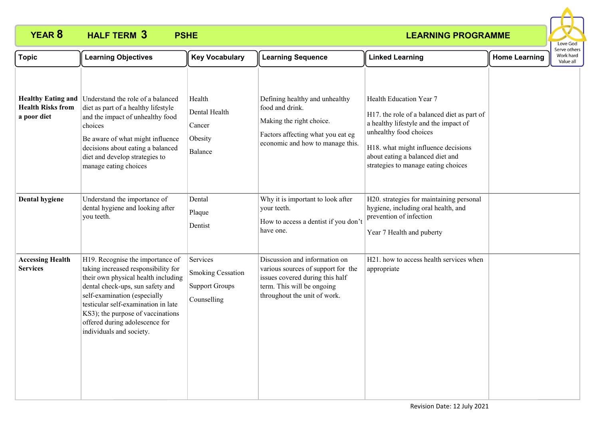

| <b>Topic</b>                                                         | <b>Learning Objectives</b>                                                                                                                                                                                                                                                                                                   | <b>Key Vocabulary</b>                                                        | <b>Learning Sequence</b>                                                                                                                                             | <b>Linked Learning</b>                                                                                                                                                                                                                                      | <b>Home Learning</b> | serve others<br>Work hard<br>Value all |  |
|----------------------------------------------------------------------|------------------------------------------------------------------------------------------------------------------------------------------------------------------------------------------------------------------------------------------------------------------------------------------------------------------------------|------------------------------------------------------------------------------|----------------------------------------------------------------------------------------------------------------------------------------------------------------------|-------------------------------------------------------------------------------------------------------------------------------------------------------------------------------------------------------------------------------------------------------------|----------------------|----------------------------------------|--|
| <b>Healthy Eating and</b><br><b>Health Risks from</b><br>a poor diet | Understand the role of a balanced<br>diet as part of a healthy lifestyle<br>and the impact of unhealthy food<br>choices<br>Be aware of what might influence<br>decisions about eating a balanced<br>diet and develop strategies to<br>manage eating choices                                                                  | Health<br>Dental Health<br>Cancer<br>Obesity<br>Balance                      | Defining healthy and unhealthy<br>food and drink.<br>Making the right choice.<br>Factors affecting what you eat eg<br>economic and how to manage this.               | Health Education Year 7<br>H17. the role of a balanced diet as part of<br>a healthy lifestyle and the impact of<br>unhealthy food choices<br>H18. what might influence decisions<br>about eating a balanced diet and<br>strategies to manage eating choices |                      |                                        |  |
| Dental hygiene                                                       | Understand the importance of<br>dental hygiene and looking after<br>you teeth.                                                                                                                                                                                                                                               | Dental<br>Plaque<br>Dentist                                                  | Why it is important to look after<br>your teeth.<br>How to access a dentist if you don't<br>have one.                                                                | H20. strategies for maintaining personal<br>hygiene, including oral health, and<br>prevention of infection<br>Year 7 Health and puberty                                                                                                                     |                      |                                        |  |
| <b>Accessing Health</b><br><b>Services</b>                           | H19. Recognise the importance of<br>taking increased responsibility for<br>their own physical health including<br>dental check-ups, sun safety and<br>self-examination (especially<br>testicular self-examination in late<br>KS3); the purpose of vaccinations<br>offered during adolescence for<br>individuals and society. | Services<br><b>Smoking Cessation</b><br><b>Support Groups</b><br>Counselling | Discussion and information on<br>various sources of support for the<br>issues covered during this half<br>term. This will be ongoing<br>throughout the unit of work. | H21. how to access health services when<br>appropriate                                                                                                                                                                                                      |                      |                                        |  |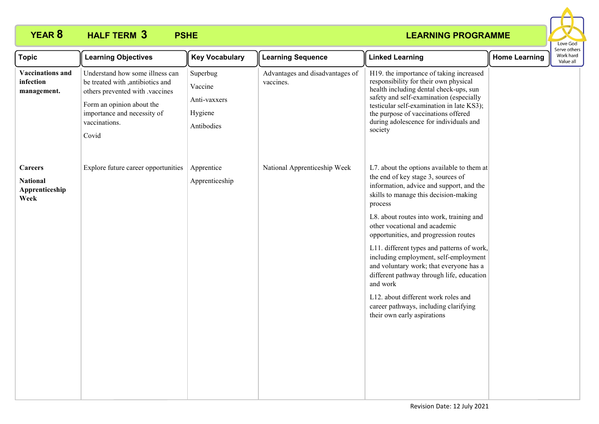

| <b>Topic</b>                                                | <b>Learning Objectives</b>                                                                                                                                                                   | <b>Key Vocabulary</b>                                        | <b>Learning Sequence</b>                     | <b>Linked Learning</b>                                                                                                                                                                                                                                                                                                                                                                                                                                                                                                                                                                                           | <b>Home Learning</b> | בו אב חיוובו:<br>Work hard<br>Value all |
|-------------------------------------------------------------|----------------------------------------------------------------------------------------------------------------------------------------------------------------------------------------------|--------------------------------------------------------------|----------------------------------------------|------------------------------------------------------------------------------------------------------------------------------------------------------------------------------------------------------------------------------------------------------------------------------------------------------------------------------------------------------------------------------------------------------------------------------------------------------------------------------------------------------------------------------------------------------------------------------------------------------------------|----------------------|-----------------------------------------|
| <b>Vaccinations and</b><br>infection<br>management.         | Understand how some illness can<br>be treated with ,antibiotics and<br>others prevented with .vaccines<br>Form an opinion about the<br>importance and necessity of<br>vaccinations.<br>Covid | Superbug<br>Vaccine<br>Anti-vaxxers<br>Hygiene<br>Antibodies | Advantages and disadvantages of<br>vaccines. | H19. the importance of taking increased<br>responsibility for their own physical<br>health including dental check-ups, sun<br>safety and self-examination (especially<br>testicular self-examination in late KS3);<br>the purpose of vaccinations offered<br>during adolescence for individuals and<br>society                                                                                                                                                                                                                                                                                                   |                      |                                         |
| <b>Careers</b><br><b>National</b><br>Apprenticeship<br>Week | Explore future career opportunities                                                                                                                                                          | Apprentice<br>Apprenticeship                                 | National Apprenticeship Week                 | L7. about the options available to them at<br>the end of key stage 3, sources of<br>information, advice and support, and the<br>skills to manage this decision-making<br>process<br>L8. about routes into work, training and<br>other vocational and academic<br>opportunities, and progression routes<br>L11. different types and patterns of work,<br>including employment, self-employment<br>and voluntary work; that everyone has a<br>different pathway through life, education<br>and work<br>L12. about different work roles and<br>career pathways, including clarifying<br>their own early aspirations |                      |                                         |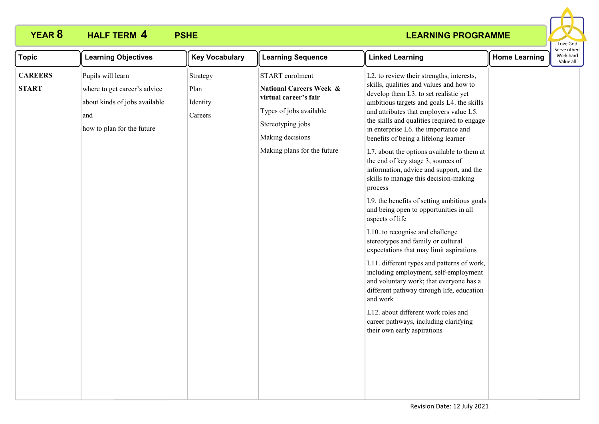

| <b>CAREERS</b><br>Pupils will learn<br>START enrolment<br>L2. to review their strengths, interests,<br>Strategy<br>skills, qualities and values and how to<br><b>National Careers Week &amp;</b><br><b>START</b><br>where to get career's advice<br>Plan<br>develop them L3. to set realistic yet<br>virtual career's fair<br>ambitious targets and goals L4. the skills<br>about kinds of jobs available<br>Identity<br>Types of jobs available<br>and attributes that employers value L5.<br>and<br>Careers<br>the skills and qualities required to engage<br>Stereotyping jobs<br>how to plan for the future<br>in enterprise L6. the importance and<br>Making decisions<br>benefits of being a lifelong learner<br>Making plans for the future<br>L7. about the options available to them at<br>the end of key stage 3, sources of<br>information, advice and support, and the | <b>Topic</b> | <b>Learning Objectives</b> | <b>Key Vocabulary</b> | <b>Learning Sequence</b> | <b>Linked Learning</b>                | <b>Home Learning</b> | Serve othel<br>Work hard<br>Value all |
|------------------------------------------------------------------------------------------------------------------------------------------------------------------------------------------------------------------------------------------------------------------------------------------------------------------------------------------------------------------------------------------------------------------------------------------------------------------------------------------------------------------------------------------------------------------------------------------------------------------------------------------------------------------------------------------------------------------------------------------------------------------------------------------------------------------------------------------------------------------------------------|--------------|----------------------------|-----------------------|--------------------------|---------------------------------------|----------------------|---------------------------------------|
| process<br>L9. the benefits of setting ambitious goals<br>and being open to opportunities in all<br>aspects of life<br>L10. to recognise and challenge<br>stereotypes and family or cultural<br>expectations that may limit aspirations<br>L11. different types and patterns of work,<br>including employment, self-employment<br>and voluntary work; that everyone has a<br>different pathway through life, education<br>and work<br>L12. about different work roles and<br>career pathways, including clarifying<br>their own early aspirations                                                                                                                                                                                                                                                                                                                                  |              |                            |                       |                          | skills to manage this decision-making |                      |                                       |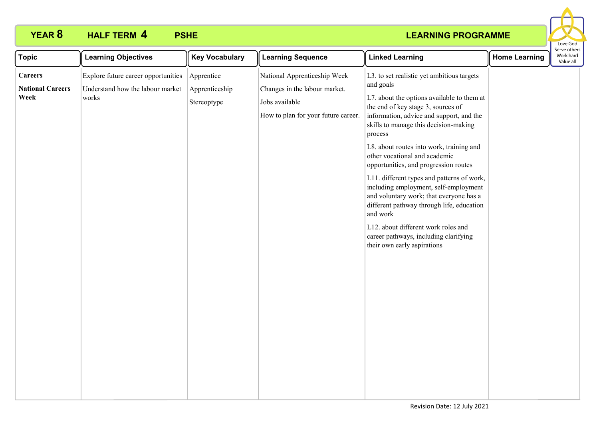

| <b>Topic</b>                                      | <b>Learning Objectives</b>                                                                        | <b>Key Vocabulary</b>     | <b>Learning Sequence</b>                                                                                               | <b>Linked Learning</b>                                                                                                                                                                                                                                                                                                                                            | <b>Home Learning</b> | Serve others<br>Work hard<br>Value all |
|---------------------------------------------------|---------------------------------------------------------------------------------------------------|---------------------------|------------------------------------------------------------------------------------------------------------------------|-------------------------------------------------------------------------------------------------------------------------------------------------------------------------------------------------------------------------------------------------------------------------------------------------------------------------------------------------------------------|----------------------|----------------------------------------|
| <b>Careers</b><br><b>National Careers</b><br>Week | Explore future career opportunities<br>Understand how the labour market   Apprenticeship<br>works | Apprentice<br>Stereoptype | National Apprenticeship Week<br>Changes in the labour market.<br>Jobs available<br>How to plan for your future career. | L3. to set realistic yet ambitious targets<br>and goals<br>L7. about the options available to them at<br>the end of key stage 3, sources of<br>information, advice and support, and the<br>skills to manage this decision-making<br>process<br>L8. about routes into work, training and<br>other vocational and academic<br>opportunities, and progression routes |                      |                                        |
|                                                   |                                                                                                   |                           |                                                                                                                        | L11. different types and patterns of work,<br>including employment, self-employment<br>and voluntary work; that everyone has a<br>different pathway through life, education<br>and work<br>L12. about different work roles and<br>career pathways, including clarifying<br>their own early aspirations                                                            |                      |                                        |
|                                                   |                                                                                                   |                           |                                                                                                                        |                                                                                                                                                                                                                                                                                                                                                                   |                      |                                        |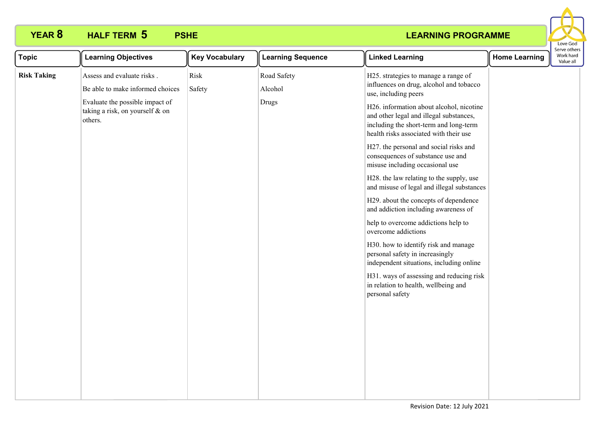

| <b>Topic</b>       | <b>Learning Objectives</b>                                                                                                                      | <b>Key Vocabulary</b> | <b>Learning Sequence</b>        | <b>Linked Learning</b>                                                                                                                                                                                                                                                                                                                                                                                                                                                                                                                                                                                                                                                                                                                                                                                                                                                      | <b>Home Learning</b> | erve others<br>Work hard<br>Value all |
|--------------------|-------------------------------------------------------------------------------------------------------------------------------------------------|-----------------------|---------------------------------|-----------------------------------------------------------------------------------------------------------------------------------------------------------------------------------------------------------------------------------------------------------------------------------------------------------------------------------------------------------------------------------------------------------------------------------------------------------------------------------------------------------------------------------------------------------------------------------------------------------------------------------------------------------------------------------------------------------------------------------------------------------------------------------------------------------------------------------------------------------------------------|----------------------|---------------------------------------|
| <b>Risk Taking</b> | Assess and evaluate risks.<br>Be able to make informed choices<br>Evaluate the possible impact of<br>taking a risk, on yourself & on<br>others. | Risk<br>Safety        | Road Safety<br>Alcohol<br>Drugs | H25. strategies to manage a range of<br>influences on drug, alcohol and tobacco<br>use, including peers<br>H26. information about alcohol, nicotine<br>and other legal and illegal substances,<br>including the short-term and long-term<br>health risks associated with their use<br>H27. the personal and social risks and<br>consequences of substance use and<br>misuse including occasional use<br>H28. the law relating to the supply, use<br>and misuse of legal and illegal substances<br>H29. about the concepts of dependence<br>and addiction including awareness of<br>help to overcome addictions help to<br>overcome addictions<br>H30. how to identify risk and manage<br>personal safety in increasingly<br>independent situations, including online<br>H31. ways of assessing and reducing risk<br>in relation to health, wellbeing and<br>personal safety |                      |                                       |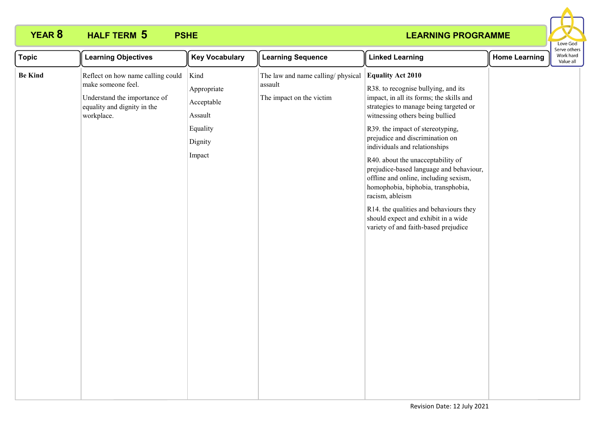

| <b>Topic</b>   | <b>Learning Objectives</b>                                                                                                           | <b>Key Vocabulary</b>                                                         | <b>Learning Sequence</b>                                                 | <b>Linked Learning</b>                                                                                                                                                                                                                                                                                                                                                                                                                                                                                                                                                                                      | <b>Home Learning</b> | : וסנווכו<br>Work hard<br>Value all |
|----------------|--------------------------------------------------------------------------------------------------------------------------------------|-------------------------------------------------------------------------------|--------------------------------------------------------------------------|-------------------------------------------------------------------------------------------------------------------------------------------------------------------------------------------------------------------------------------------------------------------------------------------------------------------------------------------------------------------------------------------------------------------------------------------------------------------------------------------------------------------------------------------------------------------------------------------------------------|----------------------|-------------------------------------|
| <b>Be Kind</b> | Reflect on how name calling could<br>make someone feel.<br>Understand the importance of<br>equality and dignity in the<br>workplace. | Kind<br>Appropriate<br>Acceptable<br>Assault<br>Equality<br>Dignity<br>Impact | The law and name calling/physical<br>assault<br>The impact on the victim | <b>Equality Act 2010</b><br>R38. to recognise bullying, and its<br>impact, in all its forms; the skills and<br>strategies to manage being targeted or<br>witnessing others being bullied<br>R39. the impact of stereotyping,<br>prejudice and discrimination on<br>individuals and relationships<br>R40. about the unacceptability of<br>prejudice-based language and behaviour,<br>offline and online, including sexism,<br>homophobia, biphobia, transphobia,<br>racism, ableism<br>R14. the qualities and behaviours they<br>should expect and exhibit in a wide<br>variety of and faith-based prejudice |                      |                                     |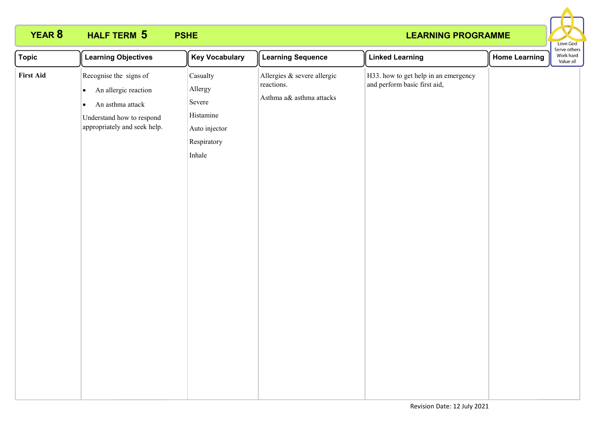

| <b>Topic</b>     | <b>Learning Objectives</b>                                                                                                                                | <b>Key Vocabulary</b>                                                                | <b>Learning Sequence</b>                                              | <b>Linked Learning</b>                                               | <b>Home Learning</b> | Serve otners<br>Work hard<br>Value all |
|------------------|-----------------------------------------------------------------------------------------------------------------------------------------------------------|--------------------------------------------------------------------------------------|-----------------------------------------------------------------------|----------------------------------------------------------------------|----------------------|----------------------------------------|
| <b>First Aid</b> | Recognise the signs of<br>An allergic reaction<br>$\bullet$<br>An asthma attack<br>$\bullet$<br>Understand how to respond<br>appropriately and seek help. | Casualty<br>Allergy<br>Severe<br>Histamine<br>Auto injector<br>Respiratory<br>Inhale | Allergies & severe allergic<br>reactions.<br>Asthma a& asthma attacks | H33. how to get help in an emergency<br>and perform basic first aid, |                      |                                        |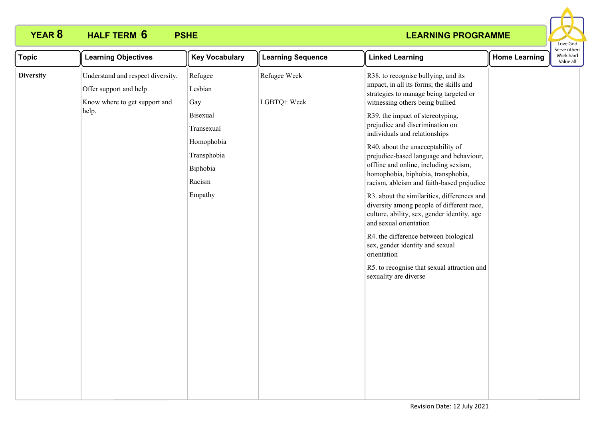

| <b>Topic</b>     | <b>Learning Objectives</b>                                                                            | <b>Key Vocabulary</b>                                                                | <b>Learning Sequence</b>    | <b>Linked Learning</b>                                                                                                                                                                                                                                                                                                                                          | <b>Home Learning</b> | serve other:<br>Work hard<br>Value all |
|------------------|-------------------------------------------------------------------------------------------------------|--------------------------------------------------------------------------------------|-----------------------------|-----------------------------------------------------------------------------------------------------------------------------------------------------------------------------------------------------------------------------------------------------------------------------------------------------------------------------------------------------------------|----------------------|----------------------------------------|
| <b>Diversity</b> | Understand and respect diversity.<br>Offer support and help<br>Know where to get support and<br>help. | Refugee<br>Lesbian<br>Gay                                                            | Refugee Week<br>LGBTQ+ Week | R38. to recognise bullying, and its<br>impact, in all its forms; the skills and<br>strategies to manage being targeted or<br>witnessing others being bullied                                                                                                                                                                                                    |                      |                                        |
|                  |                                                                                                       | Bisexual<br>Transexual<br>Homophobia<br>Transphobia<br>Biphobia<br>Racism<br>Empathy |                             | R39. the impact of stereotyping,<br>prejudice and discrimination on<br>individuals and relationships<br>R40. about the unacceptability of<br>prejudice-based language and behaviour,<br>offline and online, including sexism,<br>homophobia, biphobia, transphobia,<br>racism, ableism and faith-based prejudice<br>R3. about the similarities, differences and |                      |                                        |
|                  |                                                                                                       |                                                                                      |                             | diversity among people of different race,<br>culture, ability, sex, gender identity, age<br>and sexual orientation<br>R4. the difference between biological<br>sex, gender identity and sexual<br>orientation<br>R5. to recognise that sexual attraction and<br>sexuality are diverse                                                                           |                      |                                        |
|                  |                                                                                                       |                                                                                      |                             |                                                                                                                                                                                                                                                                                                                                                                 |                      |                                        |